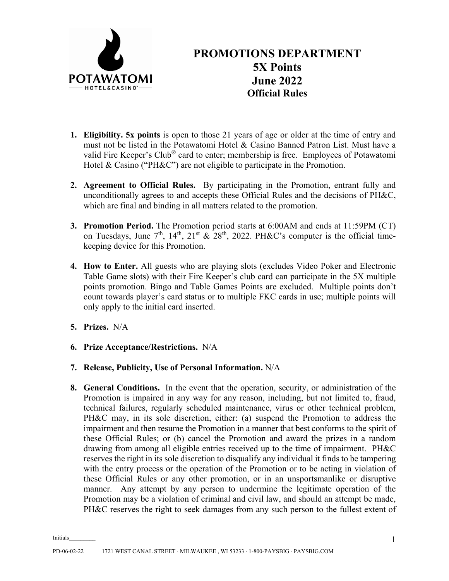

## **PROMOTIONS DEPARTMENT 5X Points June 2022 Official Rules**

- **1. Eligibility. 5x points** is open to those 21 years of age or older at the time of entry and must not be listed in the Potawatomi Hotel & Casino Banned Patron List. Must have a valid Fire Keeper's Club® card to enter; membership is free. Employees of Potawatomi Hotel & Casino ("PH&C") are not eligible to participate in the Promotion.
- **2. Agreement to Official Rules.** By participating in the Promotion, entrant fully and unconditionally agrees to and accepts these Official Rules and the decisions of PH&C, which are final and binding in all matters related to the promotion.
- **3. Promotion Period.** The Promotion period starts at 6:00AM and ends at 11:59PM (CT) on Tuesdays, June  $7<sup>th</sup>$ ,  $14<sup>th</sup>$ ,  $21<sup>st</sup>$  &  $28<sup>th</sup>$ , 2022. PH&C's computer is the official timekeeping device for this Promotion.
- **4. How to Enter.** All guests who are playing slots (excludes Video Poker and Electronic Table Game slots) with their Fire Keeper's club card can participate in the 5X multiple points promotion. Bingo and Table Games Points are excluded. Multiple points don't count towards player's card status or to multiple FKC cards in use; multiple points will only apply to the initial card inserted.
- **5. Prizes.** N/A
- **6. Prize Acceptance/Restrictions.** N/A
- **7. Release, Publicity, Use of Personal Information.** N/A
- **8. General Conditions.** In the event that the operation, security, or administration of the Promotion is impaired in any way for any reason, including, but not limited to, fraud, technical failures, regularly scheduled maintenance, virus or other technical problem, PH&C may, in its sole discretion, either: (a) suspend the Promotion to address the impairment and then resume the Promotion in a manner that best conforms to the spirit of these Official Rules; or (b) cancel the Promotion and award the prizes in a random drawing from among all eligible entries received up to the time of impairment. PH&C reserves the right in its sole discretion to disqualify any individual it finds to be tampering with the entry process or the operation of the Promotion or to be acting in violation of these Official Rules or any other promotion, or in an unsportsmanlike or disruptive manner. Any attempt by any person to undermine the legitimate operation of the Promotion may be a violation of criminal and civil law, and should an attempt be made, PH&C reserves the right to seek damages from any such person to the fullest extent of

Initials\_\_\_\_\_\_\_\_\_